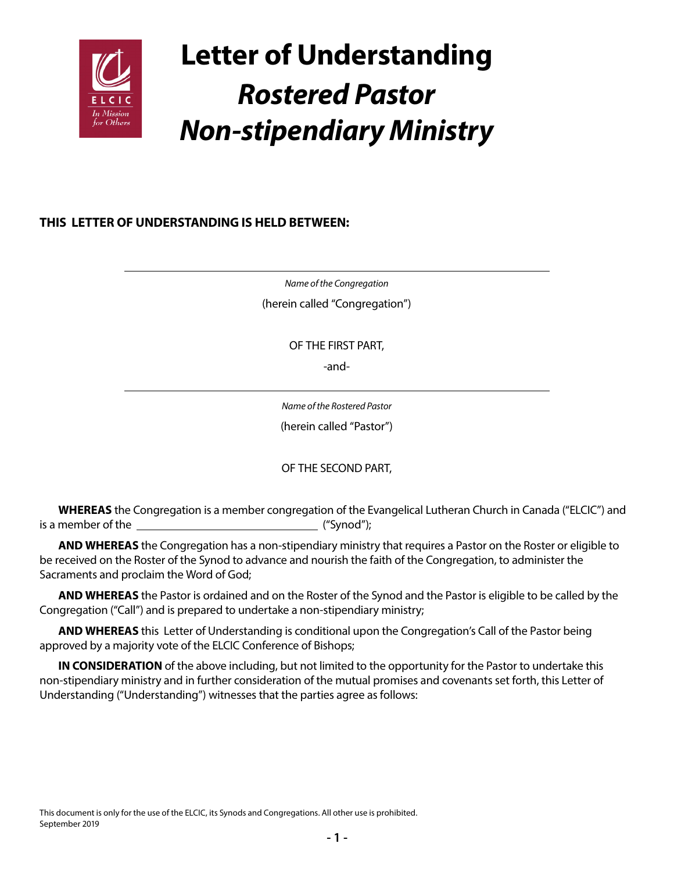

# **Letter of Understanding** *Rostered Pastor Non-stipendiary Ministry*

## **THIS LETTER OF UNDERSTANDING IS HELD BETWEEN:**

*Name of the Congregation* (herein called "Congregation")

OF THE FIRST PART,

-and-

*Name of the Rostered Pastor* (herein called "Pastor")

OF THE SECOND PART,

**WHEREAS** the Congregation is a member congregation of the Evangelical Lutheran Church in Canada ("ELCIC") and is a member of the ("Synod");

**AND WHEREAS** the Congregation has a non-stipendiary ministry that requires a Pastor on the Roster or eligible to be received on the Roster of the Synod to advance and nourish the faith of the Congregation, to administer the Sacraments and proclaim the Word of God;

**AND WHEREAS** the Pastor is ordained and on the Roster of the Synod and the Pastor is eligible to be called by the Congregation ("Call") and is prepared to undertake a non-stipendiary ministry;

**AND WHEREAS** this Letter of Understanding is conditional upon the Congregation's Call of the Pastor being approved by a majority vote of the ELCIC Conference of Bishops;

**IN CONSIDERATION** of the above including, but not limited to the opportunity for the Pastor to undertake this non-stipendiary ministry and in further consideration of the mutual promises and covenants set forth, this Letter of Understanding ("Understanding") witnesses that the parties agree as follows: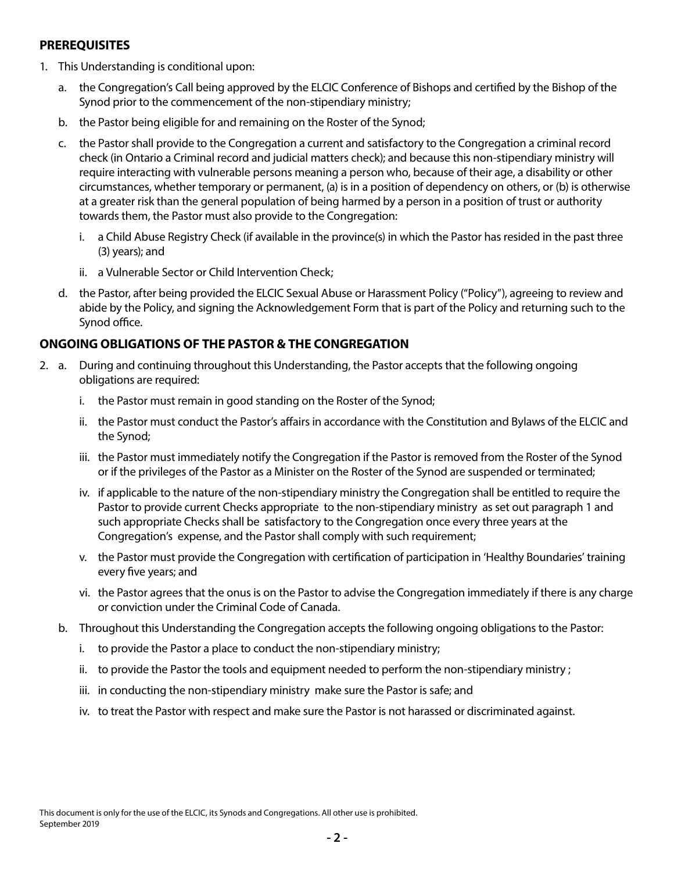#### **PREREQUISITES**

- 1. This Understanding is conditional upon:
	- a. the Congregation's Call being approved by the ELCIC Conference of Bishops and certified by the Bishop of the Synod prior to the commencement of the non-stipendiary ministry;
	- b. the Pastor being eligible for and remaining on the Roster of the Synod;
	- c. the Pastor shall provide to the Congregation a current and satisfactory to the Congregation a criminal record check (in Ontario a Criminal record and judicial matters check); and because this non-stipendiary ministry will require interacting with vulnerable persons meaning a person who, because of their age, a disability or other circumstances, whether temporary or permanent, (a) is in a position of dependency on others, or (b) is otherwise at a greater risk than the general population of being harmed by a person in a position of trust or authority towards them, the Pastor must also provide to the Congregation:
		- i. a Child Abuse Registry Check (if available in the province(s) in which the Pastor has resided in the past three (3) years); and
		- ii. a Vulnerable Sector or Child Intervention Check;
	- d. the Pastor, after being provided the ELCIC Sexual Abuse or Harassment Policy ("Policy"), agreeing to review and abide by the Policy, and signing the Acknowledgement Form that is part of the Policy and returning such to the Synod office.

## **ONGOING OBLIGATIONS OF THE PASTOR & THE CONGREGATION**

- 2. a. During and continuing throughout this Understanding, the Pastor accepts that the following ongoing obligations are required:
	- i. the Pastor must remain in good standing on the Roster of the Synod;
	- ii. the Pastor must conduct the Pastor's affairs in accordance with the Constitution and Bylaws of the ELCIC and the Synod;
	- iii. the Pastor must immediately notify the Congregation if the Pastor is removed from the Roster of the Synod or if the privileges of the Pastor as a Minister on the Roster of the Synod are suspended or terminated;
	- iv. if applicable to the nature of the non-stipendiary ministry the Congregation shall be entitled to require the Pastor to provide current Checks appropriate to the non-stipendiary ministry as set out paragraph 1 and such appropriate Checks shall be satisfactory to the Congregation once every three years at the Congregation's expense, and the Pastor shall comply with such requirement;
	- v. the Pastor must provide the Congregation with certification of participation in 'Healthy Boundaries' training every five years; and
	- vi. the Pastor agrees that the onus is on the Pastor to advise the Congregation immediately if there is any charge or conviction under the Criminal Code of Canada.
	- b. Throughout this Understanding the Congregation accepts the following ongoing obligations to the Pastor:
		- i. to provide the Pastor a place to conduct the non-stipendiary ministry;
		- ii. to provide the Pastor the tools and equipment needed to perform the non-stipendiary ministry ;
		- iii. in conducting the non-stipendiary ministry make sure the Pastor is safe; and
		- iv. to treat the Pastor with respect and make sure the Pastor is not harassed or discriminated against.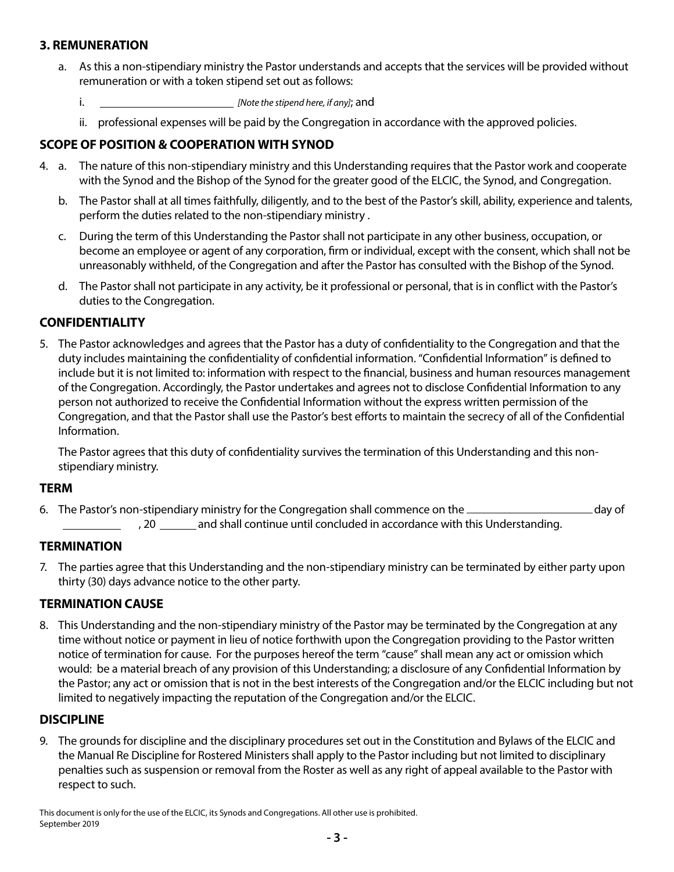## **3. REMUNERATION**

- a. As this a non-stipendiary ministry the Pastor understands and accepts that the services will be provided without remuneration or with a token stipend set out as follows:
	- i. *[Note the stipend here, if any]*; and
	- ii. professional expenses will be paid by the Congregation in accordance with the approved policies.

## **SCOPE OF POSITION & COOPERATION WITH SYNOD**

- 4. a. The nature of this non-stipendiary ministry and this Understanding requires that the Pastor work and cooperate with the Synod and the Bishop of the Synod for the greater good of the ELCIC, the Synod, and Congregation.
	- b. The Pastor shall at all times faithfully, diligently, and to the best of the Pastor's skill, ability, experience and talents, perform the duties related to the non-stipendiary ministry .
	- c. During the term of this Understanding the Pastor shall not participate in any other business, occupation, or become an employee or agent of any corporation, firm or individual, except with the consent, which shall not be unreasonably withheld, of the Congregation and after the Pastor has consulted with the Bishop of the Synod.
	- d. The Pastor shall not participate in any activity, be it professional or personal, that is in conflict with the Pastor's duties to the Congregation.

## **CONFIDENTIALITY**

5. The Pastor acknowledges and agrees that the Pastor has a duty of confidentiality to the Congregation and that the duty includes maintaining the confidentiality of confidential information. "Confidential Information" is defined to include but it is not limited to: information with respect to the financial, business and human resources management of the Congregation. Accordingly, the Pastor undertakes and agrees not to disclose Confidential Information to any person not authorized to receive the Confidential Information without the express written permission of the Congregation, and that the Pastor shall use the Pastor's best efforts to maintain the secrecy of all of the Confidential Information.

The Pastor agrees that this duty of confidentiality survives the termination of this Understanding and this nonstipendiary ministry.

#### **TERM**

6. The Pastor's non-stipendiary ministry for the Congregation shall commence on the \_\_\_\_\_\_\_\_\_\_\_\_\_\_\_\_\_\_\_\_\_\_\_\_\_day of

, 20 \_\_\_\_\_\_ and shall continue until concluded in accordance with this Understanding.

#### **TERMINATION**

7. The parties agree that this Understanding and the non-stipendiary ministry can be terminated by either party upon thirty (30) days advance notice to the other party.

## **TERMINATION CAUSE**

8. This Understanding and the non-stipendiary ministry of the Pastor may be terminated by the Congregation at any time without notice or payment in lieu of notice forthwith upon the Congregation providing to the Pastor written notice of termination for cause. For the purposes hereof the term "cause" shall mean any act or omission which would: be a material breach of any provision of this Understanding; a disclosure of any Confidential Information by the Pastor; any act or omission that is not in the best interests of the Congregation and/or the ELCIC including but not limited to negatively impacting the reputation of the Congregation and/or the ELCIC.

#### **DISCIPLINE**

9. The grounds for discipline and the disciplinary procedures set out in the Constitution and Bylaws of the ELCIC and the Manual Re Discipline for Rostered Ministers shall apply to the Pastor including but not limited to disciplinary penalties such as suspension or removal from the Roster as well as any right of appeal available to the Pastor with respect to such.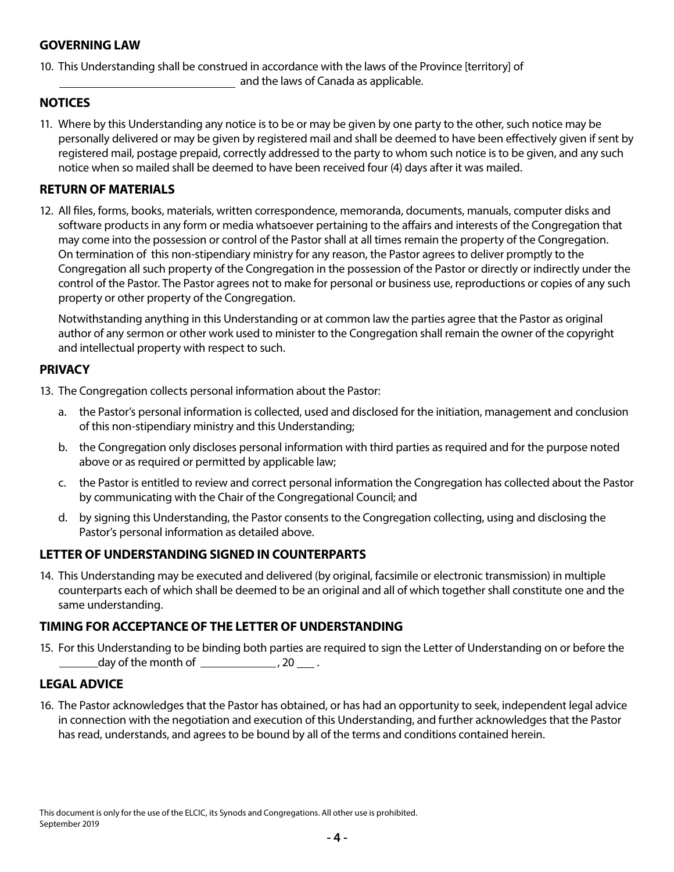#### **GOVERNING LAW**

10. This Understanding shall be construed in accordance with the laws of the Province [territory] of and the laws of Canada as applicable.

### **NOTICES**

11. Where by this Understanding any notice is to be or may be given by one party to the other, such notice may be personally delivered or may be given by registered mail and shall be deemed to have been effectively given if sent by registered mail, postage prepaid, correctly addressed to the party to whom such notice is to be given, and any such notice when so mailed shall be deemed to have been received four (4) days after it was mailed.

#### **RETURN OF MATERIALS**

12. All files, forms, books, materials, written correspondence, memoranda, documents, manuals, computer disks and software products in any form or media whatsoever pertaining to the affairs and interests of the Congregation that may come into the possession or control of the Pastor shall at all times remain the property of the Congregation. On termination of this non-stipendiary ministry for any reason, the Pastor agrees to deliver promptly to the Congregation all such property of the Congregation in the possession of the Pastor or directly or indirectly under the control of the Pastor. The Pastor agrees not to make for personal or business use, reproductions or copies of any such property or other property of the Congregation.

Notwithstanding anything in this Understanding or at common law the parties agree that the Pastor as original author of any sermon or other work used to minister to the Congregation shall remain the owner of the copyright and intellectual property with respect to such.

## **PRIVACY**

13. The Congregation collects personal information about the Pastor:

- a. the Pastor's personal information is collected, used and disclosed for the initiation, management and conclusion of this non-stipendiary ministry and this Understanding;
- b. the Congregation only discloses personal information with third parties as required and for the purpose noted above or as required or permitted by applicable law;
- c. the Pastor is entitled to review and correct personal information the Congregation has collected about the Pastor by communicating with the Chair of the Congregational Council; and
- d. by signing this Understanding, the Pastor consents to the Congregation collecting, using and disclosing the Pastor's personal information as detailed above.

## **LETTER OF UNDERSTANDING SIGNED IN COUNTERPARTS**

14. This Understanding may be executed and delivered (by original, facsimile or electronic transmission) in multiple counterparts each of which shall be deemed to be an original and all of which together shall constitute one and the same understanding.

#### **TIMING FOR ACCEPTANCE OF THE LETTER OF UNDERSTANDING**

15. For this Understanding to be binding both parties are required to sign the Letter of Understanding on or before the  $\frac{1}{2}$  day of the month of  $\frac{1}{2}$ , 20 .

#### **LEGAL ADVICE**

16. The Pastor acknowledges that the Pastor has obtained, or has had an opportunity to seek, independent legal advice in connection with the negotiation and execution of this Understanding, and further acknowledges that the Pastor has read, understands, and agrees to be bound by all of the terms and conditions contained herein.